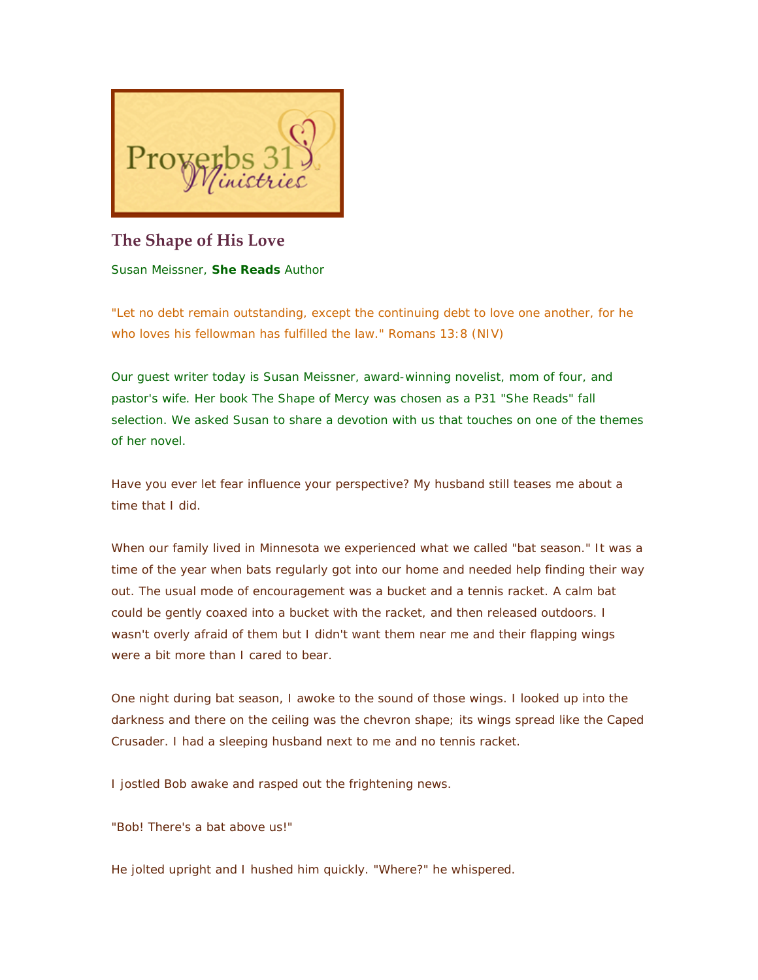

# **The Shape of His Love**

Susan Meissner, **She Reads** Author

*"Let no debt remain outstanding, except the continuing debt to love one another, for he who loves his fellowman has fulfilled the law." Romans 13:8 (NIV)*

*Our guest writer today is Susan Meissner, award-winning novelist, mom of four, and pastor's wife. Her book* The Shape of Mercy *was chosen as a P31 "She Reads" fall selection. We asked Susan to share a devotion with us that touches on one of the themes of her novel.*

Have you ever let fear influence your perspective? My husband still teases me about a time that I did.

When our family lived in Minnesota we experienced what we called "bat season." It was a time of the year when bats regularly got into our home and needed help finding their way out. The usual mode of encouragement was a bucket and a tennis racket. A calm bat could be gently coaxed into a bucket with the racket, and then released outdoors. I wasn't overly afraid of them but I didn't want them near me and their flapping wings were a bit more than I cared to bear.

One night during bat season, I awoke to the sound of those wings. I looked up into the darkness and there on the ceiling was the chevron shape; its wings spread like the Caped Crusader. I had a sleeping husband next to me and no tennis racket.

I jostled Bob awake and rasped out the frightening news.

"Bob! There's a bat above us!"

He jolted upright and I hushed him quickly. "Where?" he whispered.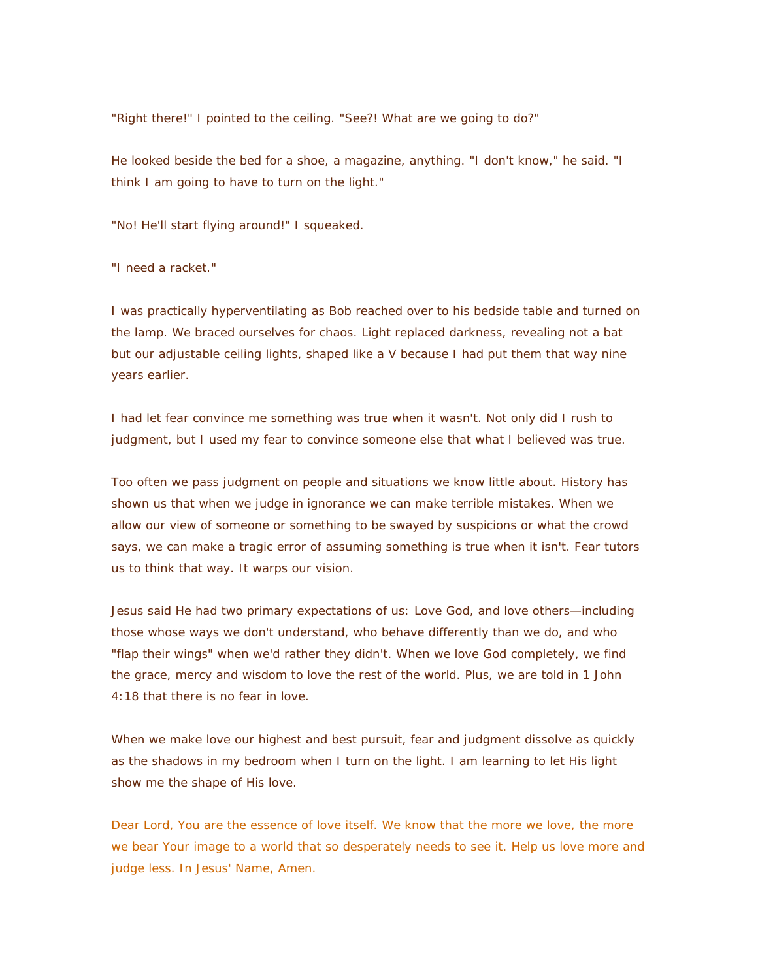"Right there!" I pointed to the ceiling. "See?! What are we going to do?"

He looked beside the bed for a shoe, a magazine, anything. "I don't know," he said. "I think I am going to have to turn on the light."

"No! He'll start flying around!" I squeaked.

"I need a racket."

I was practically hyperventilating as Bob reached over to his bedside table and turned on the lamp. We braced ourselves for chaos. Light replaced darkness, revealing not a bat but our adjustable ceiling lights, shaped like a V because I had put them that way nine years earlier.

I had let fear convince me something was true when it wasn't. Not only did I rush to judgment, but I used my fear to convince someone else that what I believed was true.

Too often we pass judgment on people and situations we know little about. History has shown us that when we judge in ignorance we can make terrible mistakes. When we allow our view of someone or something to be swayed by suspicions or what the crowd says, we can make a tragic error of assuming something is true when it isn't. Fear tutors us to think that way. It warps our vision.

Jesus said He had two primary expectations of us: Love God, and love others—including those whose ways we don't understand, who behave differently than we do, and who "flap their wings" when we'd rather they didn't. When we love God completely, we find the grace, mercy and wisdom to love the rest of the world. Plus, we are told in 1 John 4:18 that there is no fear in love.

When we make love our highest and best pursuit, fear and judgment dissolve as quickly as the shadows in my bedroom when I turn on the light. I am learning to let His light show me the shape of His love.

Dear Lord, You are the essence of love itself. We know that the more we love, the more we bear Your image to a world that so desperately needs to see it. Help us love more and judge less. In Jesus' Name, Amen.